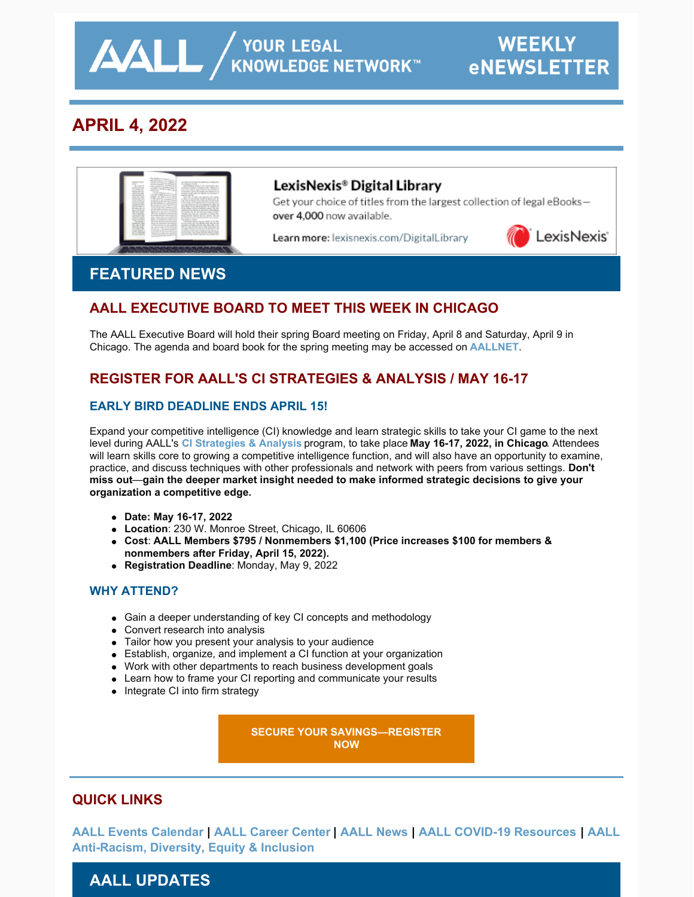**AALL** AND YOUR LEGAL

# **APRIL 4, 2022**



## LexisNexis® Digital Library

Get your choice of titles from the largest collection of legal eBooksover 4,000 now available.

Learn more: lexisnexis.com/DigitalLibrary



# **FEATURED NEWS**

## **AALL EXECUTIVE BOARD TO MEET THIS WEEK IN CHICAGO**

The AALL Executive Board will hold their spring Board meeting on Friday, April 8 and Saturday, April 9 in Chicago. The agenda and board book for the spring meeting may be accessed on **[AALLNET](https://www.aallnet.org/wp-content/uploads/_mediavault/2022/04/Board-Book-April-2022-Complete-for-Members.pdf)**.

## **REGISTER FOR AALL'S CI STRATEGIES & ANALYSIS / MAY 16-17**

### **EARLY BIRD DEADLINE ENDS APRIL 15!**

Expand your competitive intelligence (CI) knowledge and learn strategic skills to take your CI game to the next level during AALL's **[CI Strategies & Analysis](https://www.aallnet.org/education-training/in-person-programs-seminars/competitive-intelligence-series/ci-strategies-analysis/)** program, to take place **May 16-17, 2022, in Chicago**. Attendees will learn skills core to growing a competitive intelligence function, and will also have an opportunity to examine, practice, and discuss techniques with other professionals and network with peers from various settings. **Don't miss out**—**gain the deeper market insight needed to make informed strategic decisions to give your organization a competitive edge.**

- **Date: May 16-17, 2022**
- **Location**: 230 W. Monroe Street, Chicago, IL 60606
- **Cost**: **AALL Members \$795 / Nonmembers \$1,100 (Price increases \$100 for members & nonmembers after Friday, April 15, 2022).**
- **Registration Deadline**: Monday, May 9, 2022

### **WHY ATTEND?**

- Gain a deeper understanding of key CI concepts and methodology
- Convert research into analysis
- Tailor how you present your analysis to your audience
- Establish, organize, and implement a CI function at your organization
- Work with other departments to reach business development goals
- Learn how to frame your CI reporting and communicate your results
- Integrate CI into firm strategy

**[SECURE YOUR SAVINGS—REGISTER](https://www.aallnet.org/education-training/in-person-programs-seminars/competitive-intelligence-series/ci-strategies-analysis/) NOW**

## **QUICK LINKS**

**[AALL Events Calendar | AALL Career Center | AALL News | AALL COVID-19 Resources | AALL](https://www.aallnet.org/about-us/press-room/anti-racism-diversity-equity-inclusion/) Anti-Racism, Diversity, Equity & Inclusion**

# **AALL UPDATES**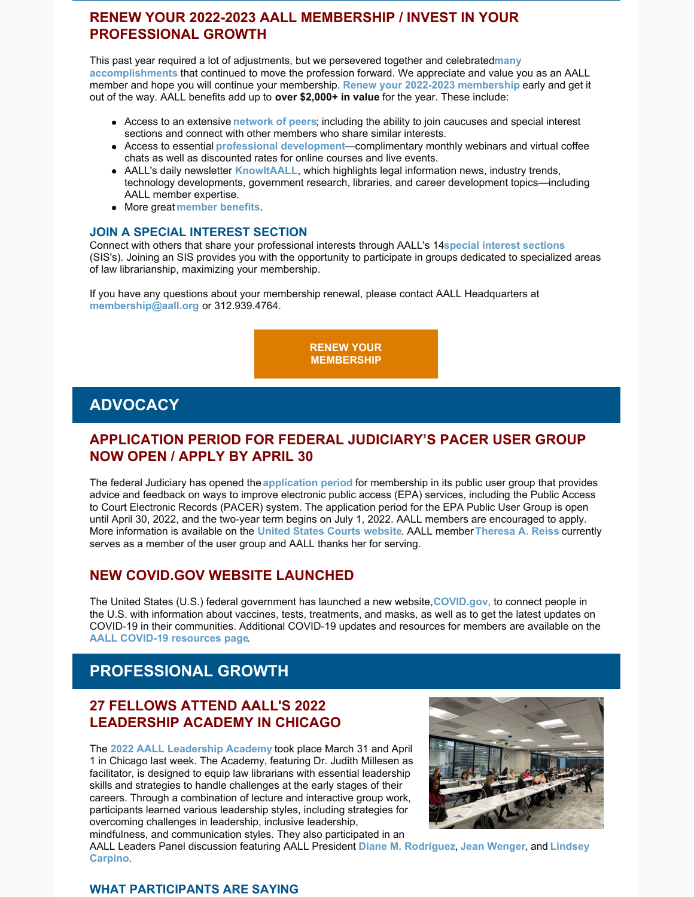## **RENEW YOUR 2022-2023 AALL MEMBERSHIP / INVEST IN YOUR PROFESSIONAL GROWTH**

This past year required a lot of adjustments, but we persevered together and celebrated**many [accomplishments](https://www.aallnet.org/wp-content/uploads/2022/02/AALL-eBriefing-Thank-You-for-Being-an-AALL-Member.pdf)** that continued to move the profession forward. We appreciate and value you as an AALL member and hope you will continue your membership. **Renew your 2022-2023 [membership](https://www.aallnet.org/community/membership/join-renew/)** early and get it out of the way. AALL benefits add up to **over \$2,000+ in value** for the year. These include:

- Access to an extensive **[network](https://www.aallnet.org/community/) of peers**; including the ability to join caucuses and special interest sections and connect with other members who share similar interests.
- Access to essential **professional [development](https://elearning.aallnet.org/)**—complimentary monthly webinars and virtual coffee chats as well as discounted rates for online courses and live events.
- AALL's daily newsletter **[KnowItAALL](https://www.aallnet.org/resources-publications/publications/knowitaall/)**, which highlights legal information news, industry trends, technology developments, government research, libraries, and career development topics—including AALL member expertise.
- More great **[member](https://www.aallnet.org/community/membership/benefits/) benefits**.

#### **JOIN A SPECIAL INTEREST SECTION**

Connect with others that share your professional interests through AALL's 14**special interest [sections](https://www.aallnet.org/community/special-interest-sections/)** (SIS's). Joining an SIS provides you with the opportunity to participate in groups dedicated to specialized areas of law librarianship, maximizing your membership.

If you have any questions about your membership renewal, please contact AALL Headquarters at **[membership@aall.org](mailto:membership@aall.org)** or 312.939.4764.

> **RENEW YOUR [MEMBERSHIP](https://www.aallnet.org/community/membership/join-renew/)**

## **ADVOCACY**

## **APPLICATION PERIOD FOR FEDERAL JUDICIARY'S PACER USER GROUP NOW OPEN / APPLY BY APRIL 30**

The federal Judiciary has opened the **[application](https://www.uscourts.gov/news/2022/03/31/application-period-opens-pacer-user-group) period** for membership in its public user group that provides advice and feedback on ways to improve electronic public access (EPA) services, including the Public Access to Court Electronic Records (PACER) system. The application period for the EPA Public User Group is open until April 30, 2022, and the two-year term begins on July 1, 2022. AALL members are encouraged to apply. More information is available on the **United States Courts [website](https://www.uscourts.gov/news/2022/03/31/application-period-opens-pacer-user-group)**. AALL member**[Theresa](https://www.aallnet.org/members_only/membership/IndividualFormPublicMembers/detail?id=201001B8BA4) A. Reiss** currently serves as a member of the user group and AALL thanks her for serving.

### **NEW COVID.GOV WEBSITE LAUNCHED**

The United States (U.S.) federal government has launched a new website,**[COVID.gov,](https://www.covid.gov/)** to connect people in the U.S. with information about vaccines, tests, treatments, and masks, as well as to get the latest updates on COVID-19 in their communities. Additional COVID-19 updates and resources for members are available on the **AALL COVID-19 [resources](https://www.aallnet.org/about-us/press-room/coronavirus/) page**.

# **PROFESSIONAL GROWTH**

### **27 FELLOWS ATTEND AALL'S 2022 LEADERSHIP ACADEMY IN CHICAGO**

The **2022 AALL [Leadership](https://www.aallnet.org/education-training/in-person-programs-seminars/leadership-academy/) Academy** took place March 31 and April 1 in Chicago last week. The Academy, featuring Dr. Judith Millesen as facilitator, is designed to equip law librarians with essential leadership skills and strategies to handle challenges at the early stages of their careers. Through a combination of lecture and interactive group work, participants learned various leadership styles, including strategies for overcoming challenges in leadership, inclusive leadership, mindfulness, and communication styles. They also participated in an



AALL Leaders Panel discussion featuring AALL President **Diane M. [Rodrigue](https://www.aallnet.org/members_only/membership/IndividualFormPublicMembers/detail?id=20100073E78)[z](https://www.aallnet.org/members_only/membership/IndividualFormPublicMembers/detail?id=2010019B46F)**, **Jean [Wenger](https://www.aallnet.org/members_only/membership/IndividualFormPublicMembers/detail?id=20100073BC8)**, and **Lindsey Carpino**.

### **WHAT PARTICIPANTS ARE SAYING**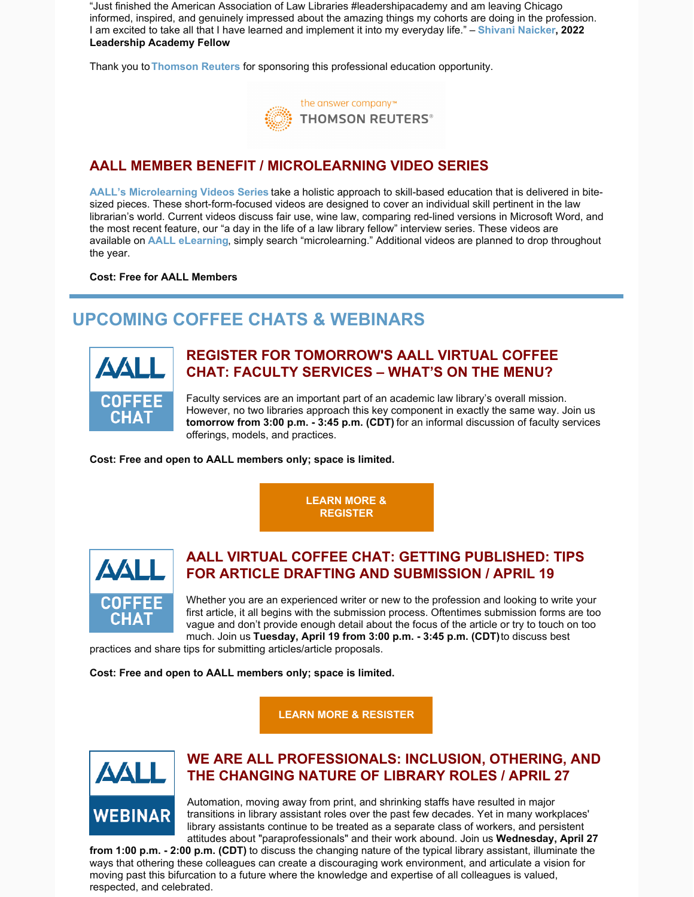"Just finished the American Association of Law Libraries #leadershipacademy and am leaving Chicago informed, inspired, and genuinely impressed about the amazing things my cohorts are doing in the profession. I am excited to take all that I have learned and implement it into my everyday life." – **Shivani [Naicker](https://www.aallnet.org/members_only/membership/IndividualFormPublicMembers/detail?id=7D020000004C), 2022 Leadership Academy Fellow**

Thank you to**[Thomson](https://legal.thomsonreuters.com/en) Reuters** for sponsoring this professional education opportunity.



## **AALL MEMBER BENEFIT / MICROLEARNING VIDEO SERIES**

**AALL's [Microlearning](https://elearning.aallnet.org/catalog#form_type=catalog-filter&page=1&webinar_type=0&product_type%5B%5D=2467&date%5Bstart%5D=&date%5Bend%5D=&keywords=&sort_by=new_to_old) Videos Series** take a holistic approach to skill-based education that is delivered in bitesized pieces. These short-form-focused videos are designed to cover an individual skill pertinent in the law librarian's world. Current videos discuss fair use, wine law, comparing red-lined versions in Microsoft Word, and the most recent feature, our "a day in the life of a law library fellow" interview series. These videos are available on **AALL [eLearning](https://elearning.aallnet.org/)**, simply search "microlearning." Additional videos are planned to drop throughout the year.

#### **Cost: Free for AALL Members**

# **UPCOMING COFFEE CHATS & WEBINARS**



## **REGISTER FOR TOMORROW'S AALL VIRTUAL COFFEE CHAT: FACULTY SERVICES – WHAT'S ON THE MENU?**

Faculty services are an important part of an academic law library's overall mission. However, no two libraries approach this key component in exactly the same way. Join us **tomorrow from 3:00 p.m. - 3:45 p.m. (CDT)** for an informal discussion of faculty services offerings, models, and practices.

**Cost: Free and open to AALL members only; space is limited.**

**LEARN MORE & [REGISTER](https://elearning.aallnet.org/products/virtual-coffee-chat-faculty-services-whats-on-the-menu)**



## **AALL VIRTUAL COFFEE CHAT: GETTING PUBLISHED: TIPS FOR ARTICLE DRAFTING AND SUBMISSION / APRIL 19**

Whether you are an experienced writer or new to the profession and looking to write your first article, it all begins with the submission process. Oftentimes submission forms are too vague and don't provide enough detail about the focus of the article or try to touch on too much. Join us **Tuesday, April 19 from 3:00 p.m. - 3:45 p.m. (CDT)**to discuss best

practices and share tips for submitting articles/article proposals.

**Cost: Free and open to AALL members only; space is limited.**

**LEARN MORE & [RESISTER](https://elearning.aallnet.org/products/virtual-coffee-chat-getting-published-tips-for-article-drafting-and-submission)**



## **WE ARE ALL PROFESSIONALS: INCLUSION, OTHERING, AND THE CHANGING NATURE OF LIBRARY ROLES / APRIL 27**

Automation, moving away from print, and shrinking staffs have resulted in major transitions in library assistant roles over the past few decades. Yet in many workplaces' library assistants continue to be treated as a separate class of workers, and persistent attitudes about "paraprofessionals" and their work abound. Join us **Wednesday, April 27**

**from 1:00 p.m. - 2:00 p.m. (CDT)** to discuss the changing nature of the typical library assistant, illuminate the ways that othering these colleagues can create a discouraging work environment, and articulate a vision for moving past this bifurcation to a future where the knowledge and expertise of all colleagues is valued, respected, and celebrated.